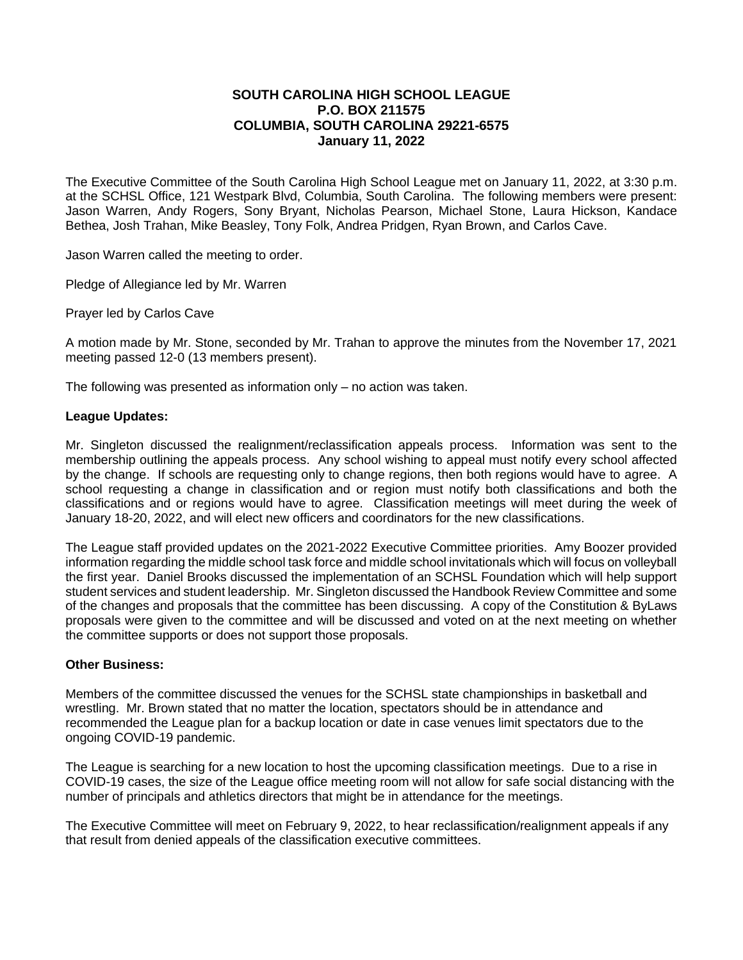## **SOUTH CAROLINA HIGH SCHOOL LEAGUE P.O. BOX 211575 COLUMBIA, SOUTH CAROLINA 29221-6575 January 11, 2022**

The Executive Committee of the South Carolina High School League met on January 11, 2022, at 3:30 p.m. at the SCHSL Office, 121 Westpark Blvd, Columbia, South Carolina. The following members were present: Jason Warren, Andy Rogers, Sony Bryant, Nicholas Pearson, Michael Stone, Laura Hickson, Kandace Bethea, Josh Trahan, Mike Beasley, Tony Folk, Andrea Pridgen, Ryan Brown, and Carlos Cave.

Jason Warren called the meeting to order.

Pledge of Allegiance led by Mr. Warren

Prayer led by Carlos Cave

A motion made by Mr. Stone, seconded by Mr. Trahan to approve the minutes from the November 17, 2021 meeting passed 12-0 (13 members present).

The following was presented as information only – no action was taken.

## **League Updates:**

Mr. Singleton discussed the realignment/reclassification appeals process. Information was sent to the membership outlining the appeals process. Any school wishing to appeal must notify every school affected by the change. If schools are requesting only to change regions, then both regions would have to agree. A school requesting a change in classification and or region must notify both classifications and both the classifications and or regions would have to agree. Classification meetings will meet during the week of January 18-20, 2022, and will elect new officers and coordinators for the new classifications.

The League staff provided updates on the 2021-2022 Executive Committee priorities. Amy Boozer provided information regarding the middle school task force and middle school invitationals which will focus on volleyball the first year. Daniel Brooks discussed the implementation of an SCHSL Foundation which will help support student services and student leadership. Mr. Singleton discussed the Handbook Review Committee and some of the changes and proposals that the committee has been discussing. A copy of the Constitution & ByLaws proposals were given to the committee and will be discussed and voted on at the next meeting on whether the committee supports or does not support those proposals.

## **Other Business:**

Members of the committee discussed the venues for the SCHSL state championships in basketball and wrestling. Mr. Brown stated that no matter the location, spectators should be in attendance and recommended the League plan for a backup location or date in case venues limit spectators due to the ongoing COVID-19 pandemic.

The League is searching for a new location to host the upcoming classification meetings. Due to a rise in COVID-19 cases, the size of the League office meeting room will not allow for safe social distancing with the number of principals and athletics directors that might be in attendance for the meetings.

The Executive Committee will meet on February 9, 2022, to hear reclassification/realignment appeals if any that result from denied appeals of the classification executive committees.